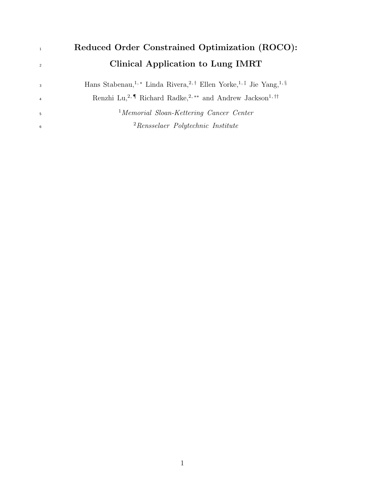| $\mathbf{1}$   | Reduced Order Constrained Optimization (ROCO):                                                                  |
|----------------|-----------------------------------------------------------------------------------------------------------------|
| $\overline{2}$ | Clinical Application to Lung IMRT                                                                               |
| $\overline{3}$ | Hans Stabenau, <sup>1,*</sup> Linda Rivera, <sup>2,†</sup> Ellen Yorke, <sup>1,‡</sup> Jie Yang, <sup>1,§</sup> |
| $\overline{4}$ | Renzhi Lu, <sup>2, ¶</sup> Richard Radke, <sup>2,**</sup> and Andrew Jackson <sup>1,††</sup>                    |
| 5              | <sup>1</sup> Memorial Sloan-Kettering Cancer Center                                                             |
| 6              | ${}^{2}$ Rensselaer Polytechnic Institute                                                                       |
|                |                                                                                                                 |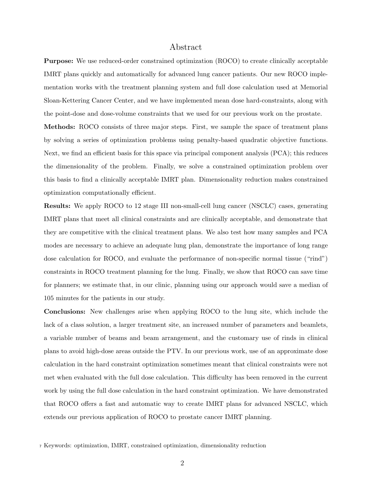# Abstract

**Purpose:** We use reduced-order constrained optimization (ROCO) to create clinically acceptable IMRT plans quickly and automatically for advanced lung cancer patients. Our new ROCO implementation works with the treatment planning system and full dose calculation used at Memorial Sloan-Kettering Cancer Center, and we have implemented mean dose hard-constraints, along with the point-dose and dose-volume constraints that we used for our previous work on the prostate.

**Methods:** ROCO consists of three major steps. First, we sample the space of treatment plans by solving a series of optimization problems using penalty-based quadratic objective functions. Next, we find an efficient basis for this space via principal component analysis (PCA); this reduces the dimensionality of the problem. Finally, we solve a constrained optimization problem over this basis to find a clinically acceptable IMRT plan. Dimensionality reduction makes constrained optimization computationally efficient.

**Results:** We apply ROCO to 12 stage III non-small-cell lung cancer (NSCLC) cases, generating IMRT plans that meet all clinical constraints and are clinically acceptable, and demonstrate that they are competitive with the clinical treatment plans. We also test how many samples and PCA modes are necessary to achieve an adequate lung plan, demonstrate the importance of long range dose calculation for ROCO, and evaluate the performance of non-specific normal tissue ("rind") constraints in ROCO treatment planning for the lung. Finally, we show that ROCO can save time for planners; we estimate that, in our clinic, planning using our approach would save a median of 105 minutes for the patients in our study.

**Conclusions:** New challenges arise when applying ROCO to the lung site, which include the lack of a class solution, a larger treatment site, an increased number of parameters and beamlets, a variable number of beams and beam arrangement, and the customary use of rinds in clinical plans to avoid high-dose areas outside the PTV. In our previous work, use of an approximate dose calculation in the hard constraint optimization sometimes meant that clinical constraints were not met when evaluated with the full dose calculation. This difficulty has been removed in the current work by using the full dose calculation in the hard constraint optimization. We have demonstrated that ROCO offers a fast and automatic way to create IMRT plans for advanced NSCLC, which extends our previous application of ROCO to prostate cancer IMRT planning.

<sup>7</sup> Keywords: optimization, IMRT, constrained optimization, dimensionality reduction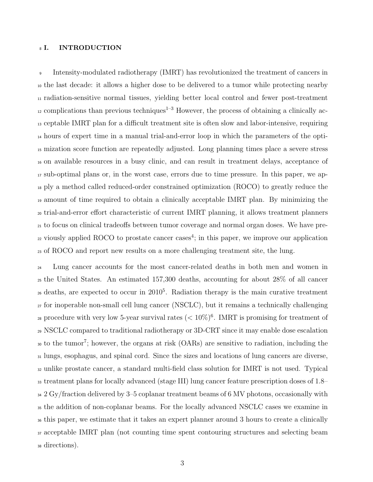## **I. INTRODUCTION**

 Intensity-modulated radiotherapy (IMRT) has revolutionized the treatment of cancers in the last decade: it allows a higher dose to be delivered to a tumor while protecting nearby radiation-sensitive normal tissues, yielding better local control and fewer post-treatment <sup>12</sup> complications than previous techniques<sup>1-3</sup> However, the process of obtaining a clinically ac- ceptable IMRT plan for a difficult treatment site is often slow and labor-intensive, requiring hours of expert time in a manual trial-and-error loop in which the parameters of the opti- mization score function are repeatedly adjusted. Long planning times place a severe stress on available resources in a busy clinic, and can result in treatment delays, acceptance of sub-optimal plans or, in the worst case, errors due to time pressure. In this paper, we ap- ply a method called reduced-order constrained optimization (ROCO) to greatly reduce the amount of time required to obtain a clinically acceptable IMRT plan. By minimizing the trial-and-error effort characteristic of current IMRT planning, it allows treatment planners to focus on clinical tradeoffs between tumor coverage and normal organ doses. We have pre-<sub>22</sub> viously applied ROCO to prostate cancer cases<sup>4</sup>; in this paper, we improve our application of ROCO and report new results on a more challenging treatment site, the lung.

 Lung cancer accounts for the most cancer-related deaths in both men and women in the United States. An estimated 157,300 deaths, accounting for about 28% of all cancer  $\alpha$  deaths, are expected to occur in 2010<sup>5</sup>. Radiation therapy is the main curative treatment for inoperable non-small cell lung cancer (NSCLC), but it remains a technically challenging 28 procedure with very low 5-year survival rates  $(< 10\%)^6$ . IMRT is promising for treatment of NSCLC compared to traditional radiotherapy or 3D-CRT since it may enable dose escalation <sup>30</sup> to the tumor<sup>7</sup>; however, the organs at risk (OARs) are sensitive to radiation, including the lungs, esophagus, and spinal cord. Since the sizes and locations of lung cancers are diverse, unlike prostate cancer, a standard multi-field class solution for IMRT is not used. Typical treatment plans for locally advanced (stage III) lung cancer feature prescription doses of 1.8– 34 2 Gy/fraction delivered by 3–5 coplanar treatment beams of 6 MV photons, occasionally with the addition of non-coplanar beams. For the locally advanced NSCLC cases we examine in this paper, we estimate that it takes an expert planner around 3 hours to create a clinically acceptable IMRT plan (not counting time spent contouring structures and selecting beam directions).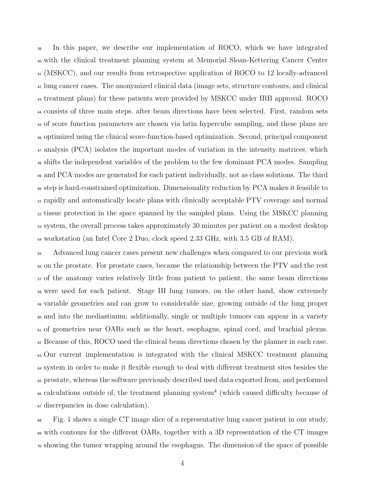In this paper, we describe our implementation of ROCO, which we have integrated with the clinical treatment planning system at Memorial Sloan-Kettering Cancer Center (MSKCC), and our results from retrospective application of ROCO to 12 locally-advanced lung cancer cases. The anonymized clinical data (image sets, structure contours, and clinical treatment plans) for these patients were provided by MSKCC under IRB approval. ROCO consists of three main steps, after beam directions have been selected. First, random sets of score function parameters are chosen via latin hypercube sampling, and these plans are optimized using the clinical score-function-based optimization. Second, principal component analysis (PCA) isolates the important modes of variation in the intensity matrices, which shifts the independent variables of the problem to the few dominant PCA modes. Sampling and PCA modes are generated for each patient individually, not as class solutions. The third step is hard-constrained optimization. Dimensionality reduction by PCA makes it feasible to rapidly and automatically locate plans with clinically acceptable PTV coverage and normal tissue protection in the space spanned by the sampled plans. Using the MSKCC planning system, the overall process takes approximately 30 minutes per patient on a modest desktop workstation (an Intel Core 2 Duo, clock speed 2.33 GHz, with 3.5 GB of RAM).

 Advanced lung cancer cases present new challenges when compared to our previous work on the prostate. For prostate cases, because the relationship between the PTV and the rest of the anatomy varies relatively little from patient to patient, the same beam directions were used for each patient. Stage III lung tumors, on the other hand, show extremely variable geometries and can grow to considerable size, growing outside of the lung proper and into the mediastinum; additionally, single or multiple tumors can appear in a variety of geometries near OARs such as the heart, esophagus, spinal cord, and brachial plexus. Because of this, ROCO used the clinical beam directions chosen by the planner in each case. Our current implementation is integrated with the clinical MSKCC treatment planning system in order to make it flexible enough to deal with different treatment sites besides the prostate, whereas the software previously described used data exported from, and performed  $\epsilon$  calculations outside of, the treatment planning system<sup>4</sup> (which caused difficulty because of discrepancies in dose calculation).

 Fig. 1 shows a single CT image slice of a representative lung cancer patient in our study, with contours for the different OARs, together with a 3D representation of the CT images showing the tumor wrapping around the esophagus. The dimension of the space of possible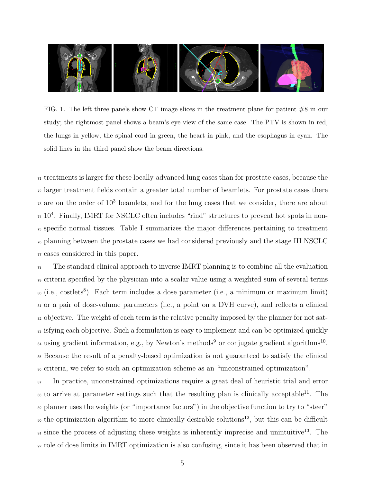

FIG. 1. The left three panels show CT image slices in the treatment plane for patient #8 in our study; the rightmost panel shows a beam's eye view of the same case. The PTV is shown in red, the lungs in yellow, the spinal cord in green, the heart in pink, and the esophagus in cyan. The solid lines in the third panel show the beam directions.

 $\pi$  treatments is larger for these locally-advanced lung cases than for prostate cases, because the <sup>72</sup> larger treatment fields contain a greater total number of beamlets. For prostate cases there  $\tau_3$  are on the order of  $10^3$  beamlets, and for the lung cases that we consider, there are about  $74\,10^4$ . Finally, IMRT for NSCLC often includes "rind" structures to prevent hot spots in non-<sup>75</sup> specific normal tissues. Table I summarizes the major differences pertaining to treatment <sup>76</sup> planning between the prostate cases we had considered previously and the stage III NSCLC <sup>77</sup> cases considered in this paper.

<sup>78</sup> The standard clinical approach to inverse IMRT planning is to combine all the evaluation <sup>79</sup> criteria specified by the physician into a scalar value using a weighted sum of several terms <sup>80</sup> (i.e., costlets<sup>8</sup>). Each term includes a dose parameter (i.e., a minimum or maximum limit) <sup>81</sup> or a pair of dose-volume parameters (i.e., a point on a DVH curve), and reflects a clinical <sup>82</sup> objective. The weight of each term is the relative penalty imposed by the planner for not sat-<sup>83</sup> isfying each objective. Such a formulation is easy to implement and can be optimized quickly <sup>84</sup> using gradient information, e.g., by Newton's methods<sup>9</sup> or conjugate gradient algorithms<sup>10</sup>. <sup>85</sup> Because the result of a penalty-based optimization is not guaranteed to satisfy the clinical <sup>86</sup> criteria, we refer to such an optimization scheme as an "unconstrained optimization".

<sup>87</sup> In practice, unconstrained optimizations require a great deal of heuristic trial and error  $\epsilon$  ss to arrive at parameter settings such that the resulting plan is clinically acceptable<sup>11</sup>. The <sup>89</sup> planner uses the weights (or "importance factors") in the objective function to try to "steer" <sup>90</sup> the optimization algorithm to more clinically desirable solutions<sup>12</sup>, but this can be difficult <sup>91</sup> since the process of adjusting these weights is inherently imprecise and unintuitive<sup>13</sup>. The <sup>92</sup> role of dose limits in IMRT optimization is also confusing, since it has been observed that in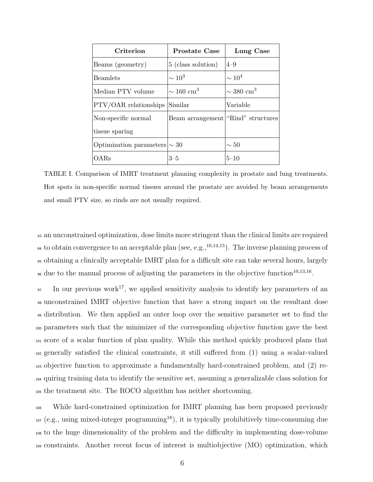| Criterion                         | <b>Prostate Case</b>               | Lung Case                  |  |  |
|-----------------------------------|------------------------------------|----------------------------|--|--|
| Beams (geometry)                  | 5 (class solution)                 | $4 - 9$                    |  |  |
| <b>Beamlets</b>                   | $\sim 10^3$                        | $\sim 10^4$                |  |  |
| Median PTV volume                 | $\sim 160 \text{ cm}^3$            | $\sim$ 380 cm <sup>3</sup> |  |  |
| PTV/OAR relationships             | Similar                            | Variable                   |  |  |
| Non-specific normal               | Beam arrangement "Rind" structures |                            |  |  |
| tissue sparing                    |                                    |                            |  |  |
| Optimization parameters $\sim$ 30 |                                    | $\sim 50$                  |  |  |
| OARs                              | $3 - 5$                            | $5 - 10$                   |  |  |

TABLE I. Comparison of IMRT treatment planning complexity in prostate and lung treatments. Hot spots in non-specific normal tissues around the prostate are avoided by beam arrangements and small PTV size, so rinds are not usually required.

<sup>93</sup> an unconstrained optimization, dose limits more stringent than the clinical limits are required <sup>94</sup> to obtain convergence to an acceptable plan (see, e.g.,  $^{10,14,15}$ ). The inverse planning process of <sup>95</sup> obtaining a clinically acceptable IMRT plan for a difficult site can take several hours, largely <sup>96</sup> due to the manual process of adjusting the parameters in the objective function<sup>10,13,16</sup>.

In our previous work<sup>17</sup>, we applied sensitivity analysis to identify key parameters of an unconstrained IMRT objective function that have a strong impact on the resultant dose distribution. We then applied an outer loop over the sensitive parameter set to find the parameters such that the minimizer of the corresponding objective function gave the best score of a scalar function of plan quality. While this method quickly produced plans that generally satisfied the clinical constraints, it still suffered from (1) using a scalar-valued objective function to approximate a fundamentally hard-constrained problem, and (2) re- quiring training data to identify the sensitive set, assuming a generalizable class solution for the treatment site. The ROCO algorithm has neither shortcoming.

 While hard-constrained optimization for IMRT planning has been proposed previously 107 (e.g., using mixed-integer programming<sup>18</sup>), it is typically prohibitively time-consuming due to the huge dimensionality of the problem and the difficulty in implementing dose-volume constraints. Another recent focus of interest is multiobjective (MO) optimization, which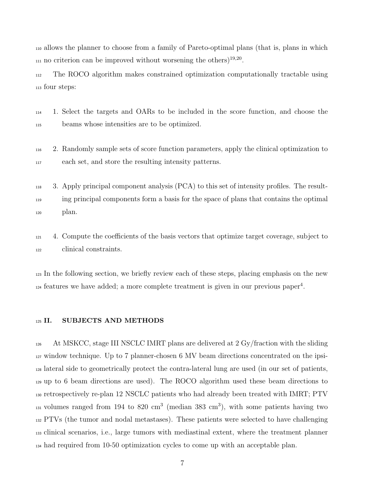allows the planner to choose from a family of Pareto-optimal plans (that is, plans in which  $n_1$  no criterion can be improved without worsening the others)<sup>19,20</sup>.

 The ROCO algorithm makes constrained optimization computationally tractable using four steps:

 1. Select the targets and OARs to be included in the score function, and choose the beams whose intensities are to be optimized.

 2. Randomly sample sets of score function parameters, apply the clinical optimization to each set, and store the resulting intensity patterns.

 3. Apply principal component analysis (PCA) to this set of intensity profiles. The result- ing principal components form a basis for the space of plans that contains the optimal plan.

 4. Compute the coefficients of the basis vectors that optimize target coverage, subject to clinical constraints.

 In the following section, we briefly review each of these steps, placing emphasis on the new  $_{124}$  features we have added; a more complete treatment is given in our previous paper<sup>4</sup>.

### **II. SUBJECTS AND METHODS**

126 At MSKCC, stage III NSCLC IMRT plans are delivered at  $2 \text{ Gy/fraction with the sliding}$  window technique. Up to 7 planner-chosen 6 MV beam directions concentrated on the ipsi- lateral side to geometrically protect the contra-lateral lung are used (in our set of patients, up to 6 beam directions are used). The ROCO algorithm used these beam directions to retrospectively re-plan 12 NSCLC patients who had already been treated with IMRT; PTV <sup>131</sup> volumes ranged from 194 to 820 cm<sup>3</sup> (median 383 cm<sup>3</sup>), with some patients having two PTVs (the tumor and nodal metastases). These patients were selected to have challenging clinical scenarios, i.e., large tumors with mediastinal extent, where the treatment planner had required from 10-50 optimization cycles to come up with an acceptable plan.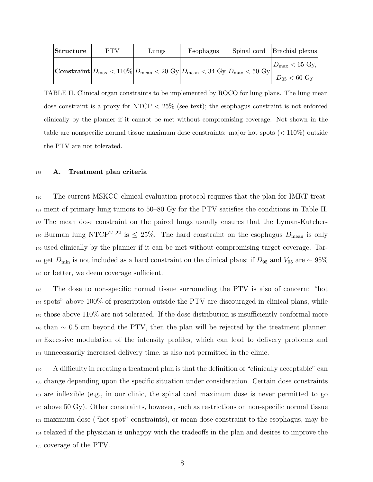| Structure | <b>PTV</b> | Lungs                                                                                                                                                           | Esophagus |  | Spinal cord   Brachial plexus      |
|-----------|------------|-----------------------------------------------------------------------------------------------------------------------------------------------------------------|-----------|--|------------------------------------|
|           |            | $\vert$ Constraint $\vert D_{\rm max} < 110\% \vert D_{\rm mean} < 20 \mathrm{Gy} \vert D_{\rm mean} < 34 \mathrm{Gy} \vert D_{\rm max} < 50 \mathrm{Gy} \vert$ |           |  | $ D_{\text{max}} < 65 \text{ Gy},$ |
|           |            |                                                                                                                                                                 |           |  | $D_{05} < 60 \text{ Gy}$           |

TABLE II. Clinical organ constraints to be implemented by ROCO for lung plans. The lung mean dose constraint is a proxy for NTCP *<* 25% (see text); the esophagus constraint is not enforced clinically by the planner if it cannot be met without compromising coverage. Not shown in the table are nonspecific normal tissue maximum dose constraints: major hot spots (*<* 110%) outside the PTV are not tolerated.

### **A. Treatment plan criteria**

 The current MSKCC clinical evaluation protocol requires that the plan for IMRT treat- ment of primary lung tumors to 50–80 Gy for the PTV satisfies the conditions in Table II. The mean dose constraint on the paired lungs usually ensures that the Lyman-Kutcher-139 Burman lung NTCP<sup>21,22</sup> is  $\leq 25\%$ . The hard constraint on the esophagus  $D_{\text{mean}}$  is only used clinically by the planner if it can be met without compromising target coverage. Tar-<sup>141</sup> get  $D_{\min}$  is not included as a hard constraint on the clinical plans; if  $D_{95}$  and  $V_{95}$  are  $\sim 95\%$ or better, we deem coverage sufficient.

 The dose to non-specific normal tissue surrounding the PTV is also of concern: "hot spots" above 100% of prescription outside the PTV are discouraged in clinical plans, while those above 110% are not tolerated. If the dose distribution is insufficiently conformal more than *∼* 0*.*5 cm beyond the PTV, then the plan will be rejected by the treatment planner. Excessive modulation of the intensity profiles, which can lead to delivery problems and unnecessarily increased delivery time, is also not permitted in the clinic.

 A difficulty in creating a treatment plan is that the definition of "clinically acceptable" can change depending upon the specific situation under consideration. Certain dose constraints are inflexible (e.g., in our clinic, the spinal cord maximum dose is never permitted to go above 50 Gy). Other constraints, however, such as restrictions on non-specific normal tissue maximum dose ("hot spot" constraints), or mean dose constraint to the esophagus, may be relaxed if the physician is unhappy with the tradeoffs in the plan and desires to improve the coverage of the PTV.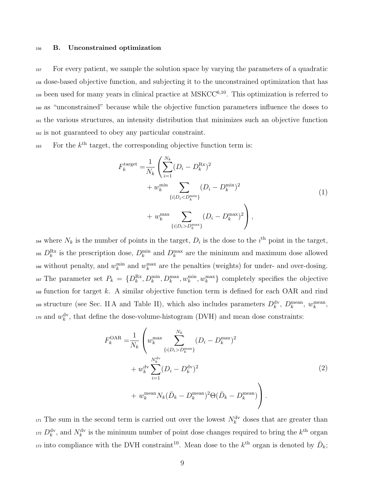#### <sup>156</sup> **B. Unconstrained optimization**

 For every patient, we sample the solution space by varying the parameters of a quadratic dose-based objective function, and subjecting it to the unconstrained optimization that has  $_{159}$  been used for many years in clinical practice at MSKCC<sup>6,10</sup>. This optimization is referred to as "unconstrained" because while the objective function parameters influence the doses to the various structures, an intensity distribution that minimizes such an objective function is not guaranteed to obey any particular constraint.

 $F<sub>163</sub>$  For the  $k<sup>th</sup>$  target, the corresponding objective function term is:

$$
F_k^{\text{target}} = \frac{1}{N_k} \left( \sum_{i=1}^{N_k} (D_i - D_k^{\text{Rx}})^2 + w_k^{\min} \sum_{\{i \mid D_i < D_k^{\min}\}} (D_i - D_k^{\min})^2 + w_k^{\max} \sum_{\{i \mid D_i > D_k^{\max}\}} (D_i - D_k^{\max})^2 \right), \tag{1}
$$

<sup>164</sup> where  $N_k$  is the number of points in the target,  $D_i$  is the dose to the *i*<sup>th</sup> point in the target, <sup>165</sup>  $D_k^{\text{Rx}}$  is the prescription dose,  $D_k^{\min}$  and  $D_k^{\max}$  are the minimum and maximum dose allowed <sup>166</sup> without penalty, and  $w_k^{\text{min}}$  and  $w_k^{\text{max}}$  are the penalties (weights) for under- and over-dosing. 167 The parameter set  $P_k = \{D_k^{\text{Rx}}, D_k^{\text{min}}, D_k^{\text{max}}, w_k^{\text{min}}, w_k^{\text{max}}\}$  completely specifies the objective <sup>168</sup> function for target *k*. A similar objective function term is defined for each OAR and rind <sup>169</sup> structure (see Sec. II A and Table II), which also includes parameters  $D_k^{\text{dv}}$ ,  $D_k^{\text{mean}}$ ,  $w_k^{\text{mean}}$ ,  $\omega_{\text{av}}$  and  $w_k^{\text{dv}}$ , that define the dose-volume-histogram (DVH) and mean dose constraints:

$$
F_k^{\text{OAR}} = \frac{1}{N_k} \left( w_k^{\max} \sum_{\{i|D_i > D_k^{\max}\}}^{N_k} (D_i - D_k^{\max})^2 + w_k^{\text{dv}} \sum_{i=1}^{N_k^{\text{dv}}} (D_i - D_k^{\text{dv}})^2 + w_k^{\text{mean}} N_k (\bar{D}_k - D_k^{\text{mean}})^2 \Theta(\bar{D}_k - D_k^{\text{mean}}) \right). \tag{2}
$$

<sup>171</sup> The sum in the second term is carried out over the lowest  $N_k^{\text{dv}}$  doses that are greater than <sup>172</sup>  $D_k^{\text{dv}}$ , and  $N_k^{\text{dv}}$  is the minimum number of point dose changes required to bring the  $k^{\text{th}}$  organ <sup>173</sup> into compliance with the DVH constraint<sup>10</sup>. Mean dose to the  $k^{\text{th}}$  organ is denoted by  $\bar{D}_k$ ;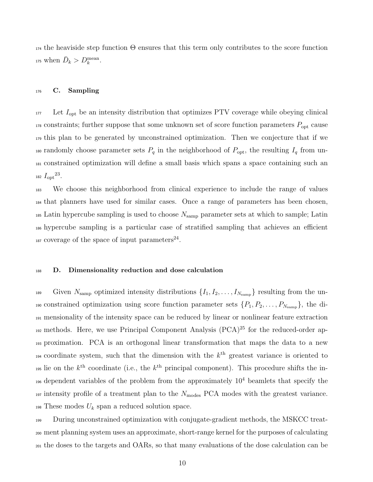<sup>174</sup> the heaviside step function Θ ensures that this term only contributes to the score function <sup>175</sup> when  $\bar{D}_k > D_k^{\text{mean}}$ .

# <sup>176</sup> **C. Sampling**

<sup>177</sup> Let  $I_{opt}$  be an intensity distribution that optimizes PTV coverage while obeying clinical  $178$  constraints; further suppose that some unknown set of score function parameters  $P_{opt}$  cause <sup>179</sup> this plan to be generated by unconstrained optimization. Then we conjecture that if we <sup>180</sup> randomly choose parameter sets  $P_q$  in the neighborhood of  $P_{opt}$ , the resulting  $I_q$  from un-<sup>181</sup> constrained optimization will define a small basis which spans a space containing such an  $I_{\rm opt}^{23}$ .

 We choose this neighborhood from clinical experience to include the range of values that planners have used for similar cases. Once a range of parameters has been chosen, Latin hypercube sampling is used to choose *N*samp parameter sets at which to sample; Latin hypercube sampling is a particular case of stratified sampling that achieves an efficient 187 coverage of the space of input parameters<sup>24</sup>.

#### <sup>188</sup> **D. Dimensionality reduction and dose calculation**

189 Given  $N_{\text{samp}}$  optimized intensity distributions  $\{I_1, I_2, \ldots, I_{N_{\text{samp}}}\}$  resulting from the un-190 constrained optimization using score function parameter sets  $\{P_1, P_2, \ldots, P_{N_{\text{samp}}}\}\$ , the di-<sup>191</sup> mensionality of the intensity space can be reduced by linear or nonlinear feature extraction <sup>192</sup> methods. Here, we use Principal Component Analysis  $(PCA)^{25}$  for the reduced-order ap-<sup>193</sup> proximation. PCA is an orthogonal linear transformation that maps the data to a new coordinate system, such that the dimension with the *k* th <sup>194</sup> greatest variance is oriented to <sup>195</sup> lie on the  $k^{\text{th}}$  coordinate (i.e., the  $k^{\text{th}}$  principal component). This procedure shifts the in- $\mu$ <sup>196</sup> dependent variables of the problem from the approximately  $10^4$  beamlets that specify the 197 intensity profile of a treatment plan to the  $N_{\text{modes}}$  PCA modes with the greatest variance.  $_{198}$  These modes  $U_k$  span a reduced solution space.

<sup>199</sup> During unconstrained optimization with conjugate-gradient methods, the MSKCC treat-<sup>200</sup> ment planning system uses an approximate, short-range kernel for the purposes of calculating <sup>201</sup> the doses to the targets and OARs, so that many evaluations of the dose calculation can be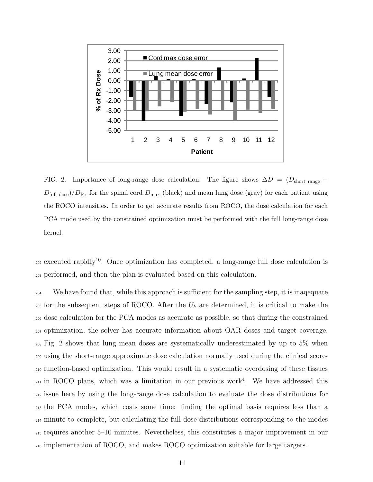

FIG. 2. Importance of long-range dose calculation. The figure shows  $\Delta D = (D_{\text{short range}} D_{\text{full dose}}/D_{\text{Rx}}$  for the spinal cord  $D_{\text{max}}$  (black) and mean lung dose (gray) for each patient using the ROCO intensities. In order to get accurate results from ROCO, the dose calculation for each PCA mode used by the constrained optimization must be performed with the full long-range dose kernel.

 $_{202}$  executed rapidly<sup>10</sup>. Once optimization has completed, a long-range full dose calculation is <sup>203</sup> performed, and then the plan is evaluated based on this calculation.

 We have found that, while this approach is sufficient for the sampling step, it is inaqequate  $_{205}$  for the subsequent steps of ROCO. After the  $U_k$  are determined, it is critical to make the dose calculation for the PCA modes as accurate as possible, so that during the constrained optimization, the solver has accurate information about OAR doses and target coverage. Fig. 2 shows that lung mean doses are systematically underestimated by up to 5% when using the short-range approximate dose calculation normally used during the clinical score- function-based optimization. This would result in a systematic overdosing of these tissues  $_{211}$  in ROCO plans, which was a limitation in our previous work<sup>4</sup>. We have addressed this issue here by using the long-range dose calculation to evaluate the dose distributions for the PCA modes, which costs some time: finding the optimal basis requires less than a minute to complete, but calculating the full dose distributions corresponding to the modes requires another 5–10 minutes. Nevertheless, this constitutes a major improvement in our implementation of ROCO, and makes ROCO optimization suitable for large targets.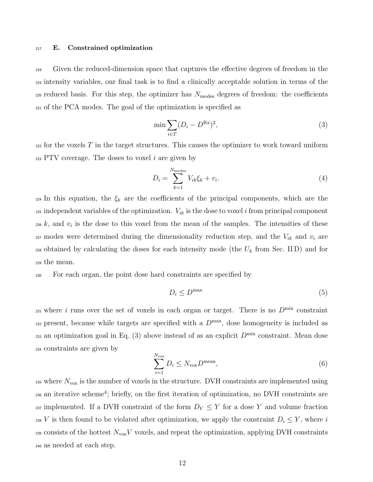#### <sup>217</sup> **E. Constrained optimization**

 Given the reduced-dimension space that captures the effective degrees of freedom in the intensity variables, our final task is to find a clinically acceptable solution in terms of the reduced basis. For this step, the optimizer has *N*modes degrees of freedom: the coefficients of the PCA modes. The goal of the optimization is specified as

$$
\min \sum_{i \in T} (D_i - D^{\text{Rx}})^2,\tag{3}
$$

<sup>222</sup> for the voxels *T* in the target structures. This causes the optimizer to work toward uniform  $223$  PTV coverage. The doses to voxel  $i$  are given by

$$
D_i = \sum_{k=1}^{N_{\text{modes}}} V_{ik} \xi_k + v_i.
$$
 (4)

 $_{224}$  In this equation, the  $\xi_k$  are the coefficients of the principal components, which are the  $_{225}$  independent variables of the optimization.  $V_{ik}$  is the dose to voxel *i* from principal component  $k$ , and  $v_i$  is the dose to this voxel from the mean of the samples. The intensities of these  $227 \text{ modes}$  were determined during the dimensionality reduction step, and the  $V_{ik}$  and  $v_i$  are  $228$  obtained by calculating the doses for each intensity mode (the  $U_k$  from Sec. IID) and for <sup>229</sup> the mean.

<sup>230</sup> For each organ, the point dose hard constraints are specified by

$$
D_i \le D^{\max} \tag{5}
$$

 $_{231}$  where *i* runs over the set of voxels in each organ or target. There is no  $D^{\min}$  constraint  $232$  present, because while targets are specified with a  $D<sup>max</sup>$ , dose homogeneity is included as  $_{233}$  an optimization goal in Eq. (3) above instead of as an explicit  $D^{\min}$  constraint. Mean dose <sup>234</sup> constraints are given by

$$
\sum_{i=1}^{N_{\text{vox}}} D_i \le N_{\text{vox}} D^{\text{mean}},\tag{6}
$$

 $_{235}$  where  $N_{\text{vox}}$  is the number of voxels in the structure. DVH constraints are implemented using  $_{236}$  an iterative scheme<sup>4</sup>; briefly, on the first iteration of optimization, no DVH constraints are <sup>237</sup> implemented. If a DVH constraint of the form  $D_V \leq Y$  for a dose Y and volume fraction <sup>238</sup> *V* is then found to be violated after optimization, we apply the constraint  $D_i \leq Y$ , where *i*  $_{239}$  consists of the hottest  $N_{\text{vox}}V$  voxels, and repeat the optimization, applying DVH constraints <sup>240</sup> as needed at each step.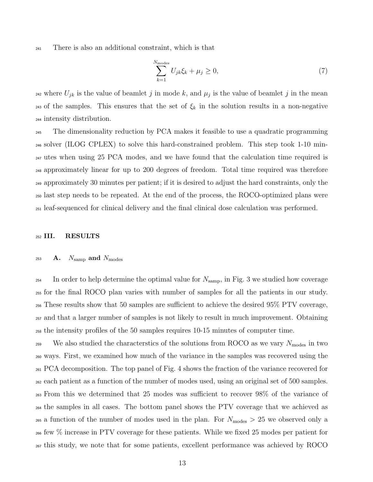There is also an additional constraint, which is that

$$
\sum_{k=1}^{N_{\text{modes}}} U_{jk}\xi_k + \mu_j \ge 0,\tag{7}
$$

<sup>242</sup> where  $U_{jk}$  is the value of beamlet *j* in mode *k*, and  $\mu_j$  is the value of beamlet *j* in the mean <sup>243</sup> of the samples. This ensures that the set of  $\xi_k$  in the solution results in a non-negative intensity distribution.

 The dimensionality reduction by PCA makes it feasible to use a quadratic programming solver (ILOG CPLEX) to solve this hard-constrained problem. This step took 1-10 min- utes when using 25 PCA modes, and we have found that the calculation time required is approximately linear for up to 200 degrees of freedom. Total time required was therefore approximately 30 minutes per patient; if it is desired to adjust the hard constraints, only the last step needs to be repeated. At the end of the process, the ROCO-optimized plans were leaf-sequenced for clinical delivery and the final clinical dose calculation was performed.

#### **III. RESULTS**

# 253 **A.**  $N_{\text{samp}}$  and  $N_{\text{modes}}$

 In order to help determine the optimal value for *N*samp, in Fig. 3 we studied how coverage for the final ROCO plan varies with number of samples for all the patients in our study. These results show that 50 samples are sufficient to achieve the desired 95% PTV coverage, and that a larger number of samples is not likely to result in much improvement. Obtaining the intensity profiles of the 50 samples requires 10-15 minutes of computer time.

 $^{259}$  We also studied the characterstics of the solutions from ROCO as we vary  $N_{\text{modes}}$  in two ways. First, we examined how much of the variance in the samples was recovered using the PCA decomposition. The top panel of Fig. 4 shows the fraction of the variance recovered for each patient as a function of the number of modes used, using an original set of 500 samples. From this we determined that 25 modes was sufficient to recover 98% of the variance of the samples in all cases. The bottom panel shows the PTV coverage that we achieved as <sup>265</sup> a function of the number of modes used in the plan. For  $N_{\text{modes}} > 25$  we observed only a few % increase in PTV coverage for these patients. While we fixed 25 modes per patient for this study, we note that for some patients, excellent performance was achieved by ROCO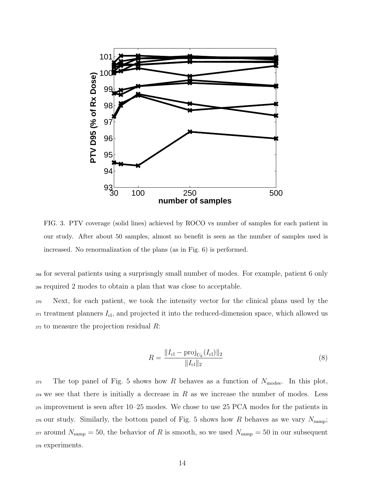

FIG. 3. PTV coverage (solid lines) achieved by ROCO vs number of samples for each patient in our study. After about 50 samples, almost no benefit is seen as the number of samples used is increased. No renormalization of the plans (as in Fig. 6) is performed.

<sup>268</sup> for several patients using a surprisngly small number of modes. For example, patient 6 only <sup>269</sup> required 2 modes to obtain a plan that was close to acceptable.

<sup>270</sup> Next, for each patient, we took the intensity vector for the clinical plans used by the <sub>271</sub> treatment planners  $I_{\text{cl}}$ , and projected it into the reduced-dimension space, which allowed us <sup>272</sup> to measure the projection residual *R*:

$$
R = \frac{\|I_{\rm cl} - \text{proj}_{U_k}(I_{\rm cl})\|_2}{\|I_{\rm cl}\|_2} \tag{8}
$$

The top panel of Fig. 5 shows how R behaves as a function of  $N_{\text{modes}}$ . In this plot, <sup>274</sup> we see that there is initially a decrease in *R* as we increase the number of modes. Less <sup>275</sup> improvement is seen after 10–25 modes. We chose to use 25 PCA modes for the patients in <sup>276</sup> our study. Similarly, the bottom panel of Fig. 5 shows how *R* behaves as we vary  $N_{\text{samp}}$ ; <sup>277</sup> around  $N_{\text{samp}} = 50$ , the behavior of *R* is smooth, so we used  $N_{\text{samp}} = 50$  in our subsequent <sup>278</sup> experiments.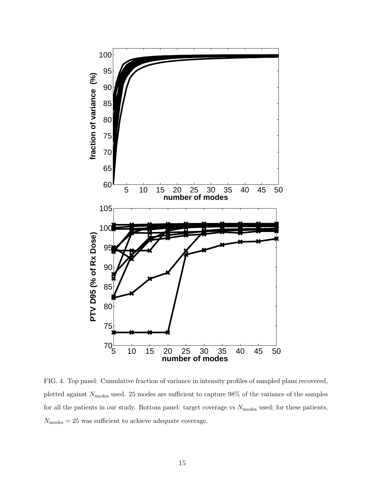

FIG. 4. Top panel: Cumulative fraction of variance in intensity profiles of sampled plans recovered, plotted against *N*modes used. 25 modes are sufficient to capture 98% of the variance of the samples for all the patients in our study. Bottom panel: target coverage vs  $N_{\text{modes}}$  used; for these patients,  $N_{\rm modes} = 25$  was sufficient to achieve adequate coverage.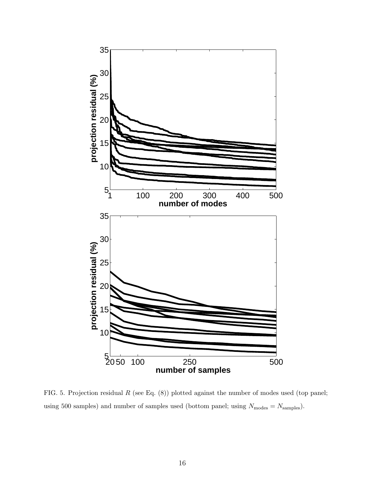

FIG. 5. Projection residual *R* (see Eq. (8)) plotted against the number of modes used (top panel; using 500 samples) and number of samples used (bottom panel; using  $N_{\text{modes}} = N_{\text{samples}}$ ).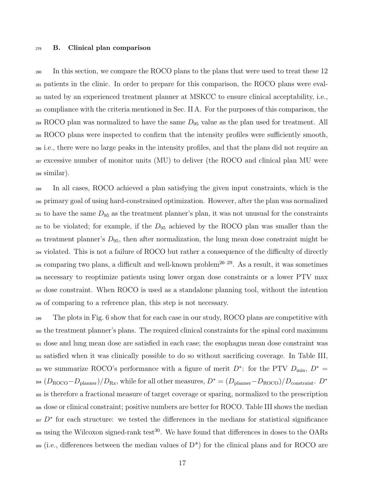#### **B. Clinical plan comparison**

 In this section, we compare the ROCO plans to the plans that were used to treat these 12 patients in the clinic. In order to prepare for this comparison, the ROCO plans were eval- uated by an experienced treatment planner at MSKCC to ensure clinical acceptability, i.e., compliance with the criteria mentioned in Sec. II A. For the purposes of this comparison, the ROCO plan was normalized to have the same *D*<sup>95</sup> value as the plan used for treatment. All ROCO plans were inspected to confirm that the intensity profiles were sufficiently smooth, i.e., there were no large peaks in the intensity profiles, and that the plans did not require an excessive number of monitor units (MU) to deliver (the ROCO and clinical plan MU were similar).

 In all cases, ROCO achieved a plan satisfying the given input constraints, which is the primary goal of using hard-constrained optimization. However, after the plan was normalized to have the same *D*<sup>95</sup> as the treatment planner's plan, it was not unusual for the constraints to be violated; for example, if the *D*<sup>95</sup> achieved by the ROCO plan was smaller than the treatment planner's *D*95, then after normalization, the lung mean dose constraint might be violated. This is not a failure of ROCO but rather a consequence of the difficulty of directly <sup>295</sup> comparing two plans, a difficult and well-known problem<sup>26–29</sup>. As a result, it was sometimes necessary to reoptimize patients using lower organ dose constraints or a lower PTV max dose constraint. When ROCO is used as a standalone planning tool, without the intention of comparing to a reference plan, this step is not necessary.

 The plots in Fig. 6 show that for each case in our study, ROCO plans are competitive with the treatment planner's plans. The required clinical constraints for the spinal cord maximum dose and lung mean dose are satisfied in each case; the esophagus mean dose constraint was satisfied when it was clinically possible to do so without sacrificing coverage. In Table III, 303 we summarize ROCO's performance with a figure of merit  $D^*$ : for the PTV  $D_{\min}$ ,  $D^* =$  $(D_{\text{ROCO}} - D_{\text{planner}})/D_{\text{Rx}}$ , while for all other measures,  $D^* = (D_{\text{planner}} - D_{\text{ROCO}})/D_{\text{constraint}}$ .  $D^*$  is therefore a fractional measure of target coverage or sparing, normalized to the prescription dose or clinical constraint; positive numbers are better for ROCO. Table III shows the median  $207 \text{ } D^*$  for each structure: we tested the differences in the medians for statistical significance <sup>308</sup> using the Wilcoxon signed-rank test<sup>30</sup>. We have found that differences in doses to the OARs (i.e., differences between the median values of  $D^*$ ) for the clinical plans and for ROCO are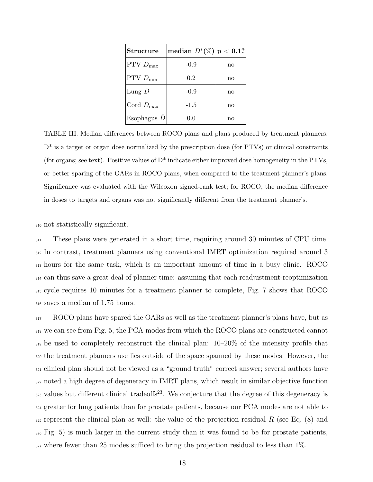| <b>Structure</b>      | median $D^*(\%) p < 0.1?$ |    |
|-----------------------|---------------------------|----|
| $PTV D_{\text{max}}$  | $-0.9$                    | no |
| $PTV D_{min}$         | $0.2\,$                   | no |
| Lung $D$              | $-0.9$                    | no |
| Cord $D_{\text{max}}$ | $-1.5$                    | no |
| Esophagus $D$         | 0.0                       | no |

TABLE III. Median differences between ROCO plans and plans produced by treatment planners. D\* is a target or organ dose normalized by the prescription dose (for PTVs) or clinical constraints (for organs; see text). Positive values of  $D^*$  indicate either improved dose homogeneity in the PTVs, or better sparing of the OARs in ROCO plans, when compared to the treatment planner's plans. Significance was evaluated with the Wilcoxon signed-rank test; for ROCO, the median difference in doses to targets and organs was not significantly different from the treatment planner's.

<sup>310</sup> not statistically significant.

 These plans were generated in a short time, requiring around 30 minutes of CPU time. In contrast, treatment planners using conventional IMRT optimization required around 3 hours for the same task, which is an important amount of time in a busy clinic. ROCO can thus save a great deal of planner time: assuming that each readjustment-reoptimization cycle requires 10 minutes for a treatment planner to complete, Fig. 7 shows that ROCO saves a median of 1.75 hours.

 ROCO plans have spared the OARs as well as the treatment planner's plans have, but as we can see from Fig. 5, the PCA modes from which the ROCO plans are constructed cannot be used to completely reconstruct the clinical plan:  $10-20\%$  of the intensity profile that the treatment planners use lies outside of the space spanned by these modes. However, the clinical plan should not be viewed as a "ground truth" correct answer; several authors have noted a high degree of degeneracy in IMRT plans, which result in similar objective function  $\sigma$ <sub>323</sub> values but different clinical tradeoffs<sup>23</sup>. We conjecture that the degree of this degeneracy is greater for lung patients than for prostate patients, because our PCA modes are not able to represent the clinical plan as well: the value of the projection residual *R* (see Eq. (8) and Fig. 5) is much larger in the current study than it was found to be for prostate patients, where fewer than 25 modes sufficed to bring the projection residual to less than 1%.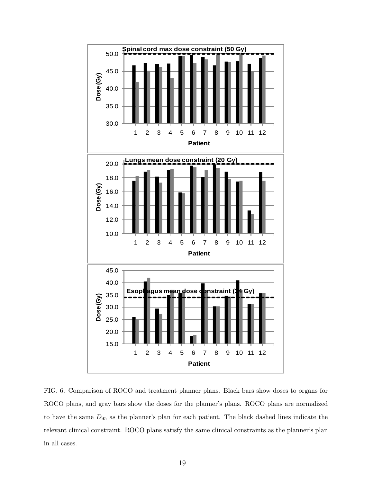

FIG. 6. Comparison of ROCO and treatment planner plans. Black bars show doses to organs for ROCO plans, and gray bars show the doses for the planner's plans. ROCO plans are normalized to have the same *D*<sup>95</sup> as the planner's plan for each patient. The black dashed lines indicate the relevant clinical constraint. ROCO plans satisfy the same clinical constraints as the planner's plan in all cases.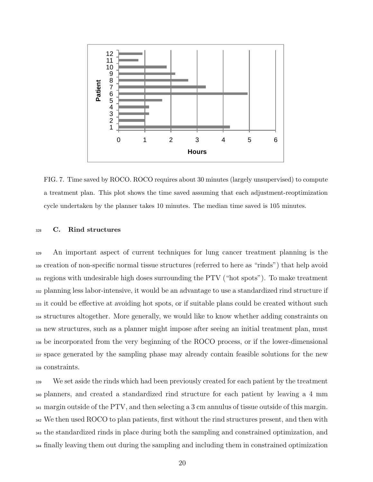

FIG. 7. Time saved by ROCO. ROCO requires about 30 minutes (largely unsupervised) to compute a treatment plan. This plot shows the time saved assuming that each adjustment-reoptimization cycle undertaken by the planner takes 10 minutes. The median time saved is 105 minutes.

### **C. Rind structures**

 An important aspect of current techniques for lung cancer treatment planning is the creation of non-specific normal tissue structures (referred to here as "rinds") that help avoid regions with undesirable high doses surrounding the PTV ("hot spots"). To make treatment planning less labor-intensive, it would be an advantage to use a standardized rind structure if it could be effective at avoiding hot spots, or if suitable plans could be created without such structures altogether. More generally, we would like to know whether adding constraints on new structures, such as a planner might impose after seeing an initial treatment plan, must be incorporated from the very beginning of the ROCO process, or if the lower-dimensional space generated by the sampling phase may already contain feasible solutions for the new constraints.

 We set aside the rinds which had been previously created for each patient by the treatment planners, and created a standardized rind structure for each patient by leaving a 4 mm <sup>341</sup> margin outside of the PTV, and then selecting a 3 cm annulus of tissue outside of this margin. <sup>342</sup> We then used ROCO to plan patients, first without the rind structures present, and then with the standardized rinds in place during both the sampling and constrained optimization, and <sup>344</sup> finally leaving them out during the sampling and including them in constrained optimization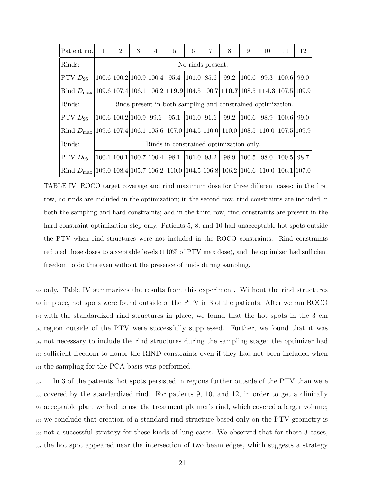| Patient no.                                                                                               | $\mathbf{1}$                                                 | $\overline{2}$ | 3 | 4                      | 5                                                                           | 6                 | 7 | 8                                           | 9     | 10   | 11             | 12   |
|-----------------------------------------------------------------------------------------------------------|--------------------------------------------------------------|----------------|---|------------------------|-----------------------------------------------------------------------------|-------------------|---|---------------------------------------------|-------|------|----------------|------|
| Rinds:                                                                                                    |                                                              |                |   |                        |                                                                             | No rinds present. |   |                                             |       |      |                |      |
| $PTV D_{95}$                                                                                              |                                                              |                |   |                        | $100.6 100.2 100.9 100.4 $ 95.4  101.0 85.6                                 |                   |   | 99.2 100.6                                  |       | 99.3 | $ 100.6 $ 99.0 |      |
| Rind $D_{\text{max}}$ 109.6 107.4 106.1 106.2 119.9 104.5 100.7 110.7 108.5 114.3 107.5 109.9             |                                                              |                |   |                        |                                                                             |                   |   |                                             |       |      |                |      |
| Rinds:                                                                                                    | Rinds present in both sampling and constrained optimization. |                |   |                        |                                                                             |                   |   |                                             |       |      |                |      |
| $PTV D_{95}$                                                                                              |                                                              |                |   | 100.6 100.2 100.9 99.6 |                                                                             |                   |   | 95.1 $ 101.0 $ 91.6 $ $ 99.2 $ 100.6 $ 98.9 |       |      | $ 100.6 $ 99.0 |      |
| Rind $D_{\text{max}}$                                                                                     |                                                              |                |   |                        | $(109.6 107.4 106.1 105.6 107.0 104.5 110.0 110.0 108.5 110.0 107.5 109.9)$ |                   |   |                                             |       |      |                |      |
| Rinds:                                                                                                    | Rinds in constrained optimization only.                      |                |   |                        |                                                                             |                   |   |                                             |       |      |                |      |
| PTV $D_{95}$                                                                                              |                                                              |                |   |                        | $100.1 100.1 100.7 100.4 $ 98.1  101.0  93.2                                |                   |   | 98.9                                        | 100.5 | 98.0 | 100.5          | 98.7 |
| Rind $D_{\text{max}}$ [109.0] 108.4] 105.7] 106.2] 110.0 [104.5] 106.8] 106.2 [106.6] 110.0 [106.1] 107.0 |                                                              |                |   |                        |                                                                             |                   |   |                                             |       |      |                |      |

TABLE IV. ROCO target coverage and rind maximum dose for three different cases: in the first row, no rinds are included in the optimization; in the second row, rind constraints are included in both the sampling and hard constraints; and in the third row, rind constraints are present in the hard constraint optimization step only. Patients 5, 8, and 10 had unacceptable hot spots outside the PTV when rind structures were not included in the ROCO constraints. Rind constraints reduced these doses to acceptable levels (110% of PTV max dose), and the optimizer had sufficient freedom to do this even without the presence of rinds during sampling.

 only. Table IV summarizes the results from this experiment. Without the rind structures in place, hot spots were found outside of the PTV in 3 of the patients. After we ran ROCO with the standardized rind structures in place, we found that the hot spots in the 3 cm region outside of the PTV were successfully suppressed. Further, we found that it was not necessary to include the rind structures during the sampling stage: the optimizer had sufficient freedom to honor the RIND constraints even if they had not been included when the sampling for the PCA basis was performed.

 In 3 of the patients, hot spots persisted in regions further outside of the PTV than were covered by the standardized rind. For patients 9, 10, and 12, in order to get a clinically acceptable plan, we had to use the treatment planner's rind, which covered a larger volume; we conclude that creation of a standard rind structure based only on the PTV geometry is not a successful strategy for these kinds of lung cases. We observed that for these 3 cases, the hot spot appeared near the intersection of two beam edges, which suggests a strategy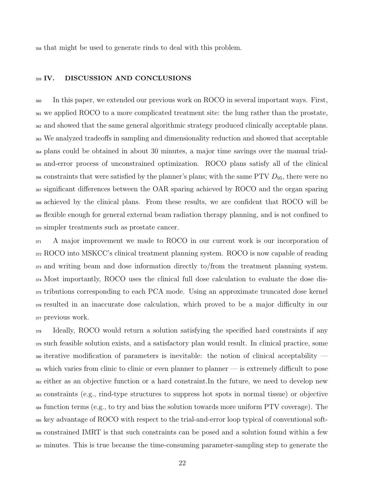that might be used to generate rinds to deal with this problem.

### **IV. DISCUSSION AND CONCLUSIONS**

 In this paper, we extended our previous work on ROCO in several important ways. First, we applied ROCO to a more complicated treatment site: the lung rather than the prostate, and showed that the same general algorithmic strategy produced clinically acceptable plans. We analyzed tradeoffs in sampling and dimensionality reduction and showed that acceptable plans could be obtained in about 30 minutes, a major time savings over the manual trial- and-error process of unconstrained optimization. ROCO plans satisfy all of the clinical <sup>366</sup> constraints that were satisfied by the planner's plans; with the same PTV  $D_{95}$ , there were no significant differences between the OAR sparing achieved by ROCO and the organ sparing achieved by the clinical plans. From these results, we are confident that ROCO will be flexible enough for general external beam radiation therapy planning, and is not confined to simpler treatments such as prostate cancer.

 A major improvement we made to ROCO in our current work is our incorporation of ROCO into MSKCC's clinical treatment planning system. ROCO is now capable of reading and writing beam and dose information directly to/from the treatment planning system. Most importantly, ROCO uses the clinical full dose calculation to evaluate the dose dis- tributions corresponding to each PCA mode. Using an approximate truncated dose kernel resulted in an inaccurate dose calculation, which proved to be a major difficulty in our previous work.

 Ideally, ROCO would return a solution satisfying the specified hard constraints if any such feasible solution exists, and a satisfactory plan would result. In clinical practice, some iterative modification of parameters is inevitable: the notion of clinical acceptability — which varies from clinic to clinic or even planner to planner — is extremely difficult to pose either as an objective function or a hard constraint.In the future, we need to develop new constraints (e.g., rind-type structures to suppress hot spots in normal tissue) or objective function terms (e.g., to try and bias the solution towards more uniform PTV coverage). The key advantage of ROCO with respect to the trial-and-error loop typical of conventional soft- constrained IMRT is that such constraints can be posed and a solution found within a few minutes. This is true because the time-consuming parameter-sampling step to generate the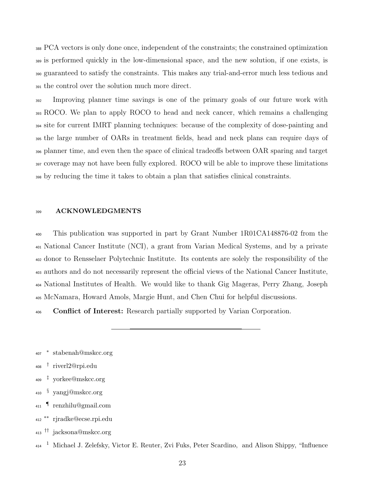PCA vectors is only done once, independent of the constraints; the constrained optimization is performed quickly in the low-dimensional space, and the new solution, if one exists, is guaranteed to satisfy the constraints. This makes any trial-and-error much less tedious and the control over the solution much more direct.

 Improving planner time savings is one of the primary goals of our future work with ROCO. We plan to apply ROCO to head and neck cancer, which remains a challenging site for current IMRT planning techniques: because of the complexity of dose-painting and the large number of OARs in treatment fields, head and neck plans can require days of planner time, and even then the space of clinical tradeoffs between OAR sparing and target coverage may not have been fully explored. ROCO will be able to improve these limitations by reducing the time it takes to obtain a plan that satisfies clinical constraints.

# **ACKNOWLEDGMENTS**

 This publication was supported in part by Grant Number 1R01CA148876-02 from the National Cancer Institute (NCI), a grant from Varian Medical Systems, and by a private donor to Rensselaer Polytechnic Institute. Its contents are solely the responsibility of the authors and do not necessarily represent the official views of the National Cancer Institute, National Institutes of Health. We would like to thank Gig Mageras, Perry Zhang, Joseph McNamara, Howard Amols, Margie Hunt, and Chen Chui for helpful discussions.

**Conflict of Interest:** Research partially supported by Varian Corporation.

- *∗* stabenah@mskcc.org
- *†* riverl2@rpi.edu
- *‡* yorkee@mskcc.org
- *§* yangj@mskcc.org
- *¶* renzhilu@gmail.com
- *∗∗* rjradke@ecse.rpi.edu
- *††* jacksona@mskcc.org
- <sup>1</sup> Michael J. Zelefsky, Victor E. Reuter, Zvi Fuks, Peter Scardino, and Alison Shippy, "Influence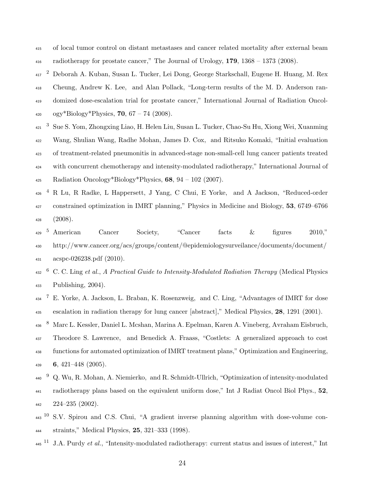- of local tumor control on distant metastases and cancer related mortality after external beam radiotherapy for prostate cancer," The Journal of Urology, **179**, 1368 – 1373 (2008).
- <sup>2</sup> Deborah A. Kuban, Susan L. Tucker, Lei Dong, George Starkschall, Eugene H. Huang, M. Rex Cheung, Andrew K. Lee, and Alan Pollack, "Long-term results of the M. D. Anderson ran- domized dose-escalation trial for prostate cancer," International Journal of Radiation Oncol-ogy\*Biology\*Physics, **70**, 67 – 74 (2008).
- Sue S. Yom, Zhongxing Liao, H. Helen Liu, Susan L. Tucker, Chao-Su Hu, Xiong Wei, Xuanming Wang, Shulian Wang, Radhe Mohan, James D. Cox, and Ritsuko Komaki, "Initial evaluation of treatment-related pneumonitis in advanced-stage non-small-cell lung cancer patients treated with concurrent chemotherapy and intensity-modulated radiotherapy," International Journal of Radiation Oncology\*Biology\*Physics, **68**, 94 – 102 (2007).
- <sup>4</sup> R Lu, R Radke, L Happersett, J Yang, C Chui, E Yorke, and A Jackson, "Reduced-order constrained optimization in IMRT planning," Physics in Medicine and Biology, **53**, 6749–6766  $(2008)$ .
- <sup>5</sup> American Cancer Society, "Cancer facts & figures 2010," http://www.cancer.org/acs/groups/content/@epidemiologysurveilance/documents/document/ acspc-026238.pdf (2010).
- C. C. Ling *et al.*, *A Practical Guide to Intensity-Modulated Radiation Therapy* (Medical Physics Publishing, 2004).
- <sup>434</sup> <sup>7</sup> E. Yorke, A. Jackson, L. Braban, K. Rosenzweig, and C. Ling, "Advantages of IMRT for dose escalation in radiation therapy for lung cancer [abstract]," Medical Physics, **28**, 1291 (2001).
- <sup>8</sup> Marc L. Kessler, Daniel L. Mcshan, Marina A. Epelman, Karen A. Vineberg, Avraham Eisbruch, Theodore S. Lawrence, and Benedick A. Fraass, "Costlets: A generalized approach to cost functions for automated optimization of IMRT treatment plans," Optimization and Engineering, **6**, 421–448 (2005).
- <sup>9</sup> Q. Wu, R. Mohan, A. Niemierko, and R. Schmidt-Ullrich, "Optimization of intensity-modulated radiotherapy plans based on the equivalent uniform dose," Int J Radiat Oncol Biol Phys., **52**,  $442 \quad 224 - 235 \quad (2002)$ .
- S.V. Spirou and C.S. Chui, "A gradient inverse planning algorithm with dose-volume con-straints," Medical Physics, **25**, 321–333 (1998).
- <sup>445</sup> <sup>11</sup> J.A. Purdy *et al.*, "Intensity-modulated radiotherapy: current status and issues of interest," Int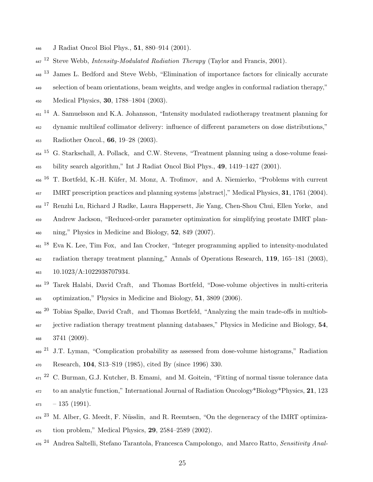J Radiat Oncol Biol Phys., **51**, 880–914 (2001).

- <sup>448</sup> <sup>13</sup> James L. Bedford and Steve Webb, "Elimination of importance factors for clinically accurate selection of beam orientations, beam weights, and wedge angles in conformal radiation therapy,"
- Medical Physics, **30**, 1788–1804 (2003).
- <sup>451 14</sup> A. Samuelsson and K.A. Johansson, "Intensity modulated radiotherapy treatment planning for dynamic multileaf collimator delivery: influence of different parameters on dose distributions," Radiother Oncol., **66**, 19–28 (2003).
- <sup>15</sup> G. Starkschall, A. Pollack, and C.W. Stevens, "Treatment planning using a dose-volume feasi-bility search algorithm," Int J Radiat Oncol Biol Phys., **49**, 1419–1427 (2001).
- <sup>456</sup> T. Bortfeld, K.-H. Küfer, M. Monz, A. Trofimov, and A. Niemierko, "Problems with current
- IMRT prescription practices and planning systems [abstract]," Medical Physics, **31**, 1761 (2004).
- <sup>458 <sup>17</sup> Renzhi Lu, Richard J Radke, Laura Happersett, Jie Yang, Chen-Shou Chui, Ellen Yorke, and</sup> Andrew Jackson, "Reduced-order parameter optimization for simplifying prostate IMRT plan-ning," Physics in Medicine and Biology, **52**, 849 (2007).
- <sup>461</sup> <sup>18</sup> Eva K. Lee, Tim Fox, and Ian Crocker, "Integer programming applied to intensity-modulated radiation therapy treatment planning," Annals of Operations Research, **119**, 165–181 (2003), 10.1023/A:1022938707934.
- <sup>464</sup> <sup>19</sup> Tarek Halabi, David Craft, and Thomas Bortfeld, "Dose-volume objectives in multi-criteria optimization," Physics in Medicine and Biology, **51**, 3809 (2006).
- <sup>466</sup> <sup>20</sup> Tobias Spalke, David Craft, and Thomas Bortfeld, "Analyzing the main trade-offs in multiob- jective radiation therapy treatment planning databases," Physics in Medicine and Biology, **54**, 3741 (2009).
- <sup>21</sup> J.T. Lyman, "Complication probability as assessed from dose-volume histograms," Radiation Research, **104**, S13–S19 (1985), cited By (since 1996) 330.
- <sup>471</sup> <sup>22</sup> C. Burman, G.J. Kutcher, B. Emami, and M. Goitein, "Fitting of normal tissue tolerance data to an analytic function," International Journal of Radiation Oncology\*Biology\*Physics, **21**, 123  $473 - 135 (1991)$ .
- <sup>23</sup> M. Alber, G. Meedt, F. Nüsslin, and R. Reemtsen, "On the degeneracy of the IMRT optimiza-tion problem," Medical Physics, **29**, 2584–2589 (2002).
- <sup>24</sup> Andrea Saltelli, Stefano Tarantola, Francesca Campolongo, and Marco Ratto, *Sensitivity Anal-*

 Steve Webb, *Intensity-Modulated Radiation Therapy* (Taylor and Francis, 2001).